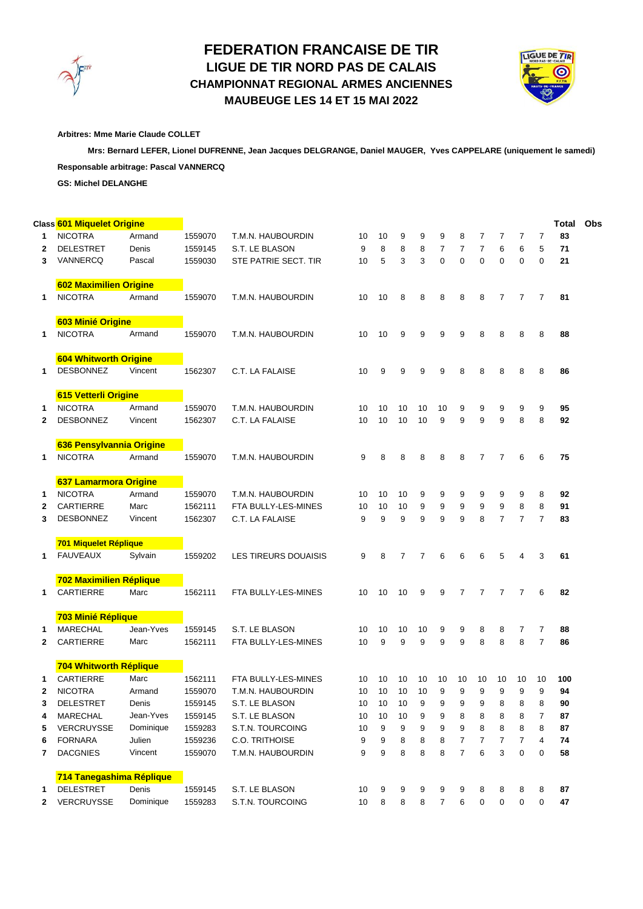

## **CHAMPIONNAT REGIONAL ARMES ANCIENNES MAUBEUGE LES 14 ET 15 MAI 2022 FEDERATION FRANCAISE DE TIR LIGUE DE TIR NORD PAS DE CALAIS**



**Arbitres: Mme Marie Claude COLLET**

 **Mrs: Bernard LEFER, Lionel DUFRENNE, Jean Jacques DELGRANGE, Daniel MAUGER, Yves CAPPELARE (uniquement le samedi) Responsable arbitrage: Pascal VANNERCQ**

**GS: Michel DELANGHE**

|              | Class 601 Miquelet Origine               |           |         |                       |                 |    |    |                |                |                |                |                |                |                | Total | Obs |
|--------------|------------------------------------------|-----------|---------|-----------------------|-----------------|----|----|----------------|----------------|----------------|----------------|----------------|----------------|----------------|-------|-----|
| 1            | <b>NICOTRA</b>                           | Armand    | 1559070 | T.M.N. HAUBOURDIN     | 10              | 10 | 9  | 9              | 9              | 8              | 7              | 7              | $\overline{7}$ | $\overline{7}$ | 83    |     |
| 2            | <b>DELESTRET</b>                         | Denis     | 1559145 | S.T. LE BLASON        | 9               | 8  | 8  | 8              | 7              | 7              | 7              | 6              | 6              | 5              | 71    |     |
| 3            | VANNERCQ                                 | Pascal    | 1559030 | STE PATRIE SECT. TIR  | 10              | 5  | 3  | 3              | 0              | $\mathbf 0$    | 0              | $\mathbf 0$    | $\mathbf 0$    | 0              | 21    |     |
|              |                                          |           |         |                       |                 |    |    |                |                |                |                |                |                |                |       |     |
|              | 602 Maximilien Origine                   |           |         |                       |                 |    |    |                |                |                |                |                |                |                |       |     |
| 1            | <b>NICOTRA</b>                           | Armand    | 1559070 | T.M.N. HAUBOURDIN     | 10              | 10 | 8  | 8              | 8              | 8              | 8              | 7              | 7              | 7              | 81    |     |
|              |                                          |           |         |                       |                 |    |    |                |                |                |                |                |                |                |       |     |
|              | 603 Minié Origine                        |           |         |                       |                 |    |    |                |                |                |                |                |                |                |       |     |
| 1            | <b>NICOTRA</b>                           | Armand    | 1559070 | T.M.N. HAUBOURDIN     | 10              | 10 | 9  | 9              | 9              | 9              | 8              | 8              | 8              | 8              | 88    |     |
|              |                                          |           |         |                       |                 |    |    |                |                |                |                |                |                |                |       |     |
|              | <b>604 Whitworth Origine</b>             |           |         |                       |                 |    |    |                |                |                |                |                |                |                |       |     |
| 1            | <b>DESBONNEZ</b>                         | Vincent   | 1562307 | C.T. LA FALAISE       | 10              | 9  | 9  | 9              | 9              | 8              | 8              | 8              | 8              | 8              | 86    |     |
|              |                                          |           |         |                       |                 |    |    |                |                |                |                |                |                |                |       |     |
|              | 615 Vetterli Origine                     |           |         |                       |                 |    |    |                |                |                |                |                |                |                |       |     |
| 1            | <b>NICOTRA</b>                           | Armand    | 1559070 | T.M.N. HAUBOURDIN     | 10              | 10 | 10 | 10             | 10             | 9              | 9              | 9              | 9              | 9              | 95    |     |
| $\mathbf{2}$ | <b>DESBONNEZ</b>                         | Vincent   | 1562307 | C.T. LA FALAISE       | 10              | 10 | 10 | 10             | 9              | 9              | 9              | 9              | 8              | 8              | 92    |     |
|              |                                          |           |         |                       |                 |    |    |                |                |                |                |                |                |                |       |     |
|              | 636 Pensylvannia Origine                 |           |         |                       |                 |    |    |                |                |                |                |                |                |                |       |     |
| 1            | <b>NICOTRA</b>                           | Armand    | 1559070 | T.M.N. HAUBOURDIN     | 9               | 8  | 8  | 8              | 8              | 8              | $\overline{7}$ | 7              | 6              | 6              | 75    |     |
|              |                                          |           |         |                       |                 |    |    |                |                |                |                |                |                |                |       |     |
|              | 637 Lamarmora Origine                    |           |         |                       |                 |    |    |                |                |                |                |                |                |                |       |     |
| 1            | <b>NICOTRA</b>                           | Armand    | 1559070 | T.M.N. HAUBOURDIN     | 10              | 10 | 10 | 9              | 9              | 9              | 9              | 9              | 9              | 8              | 92    |     |
| 2            | <b>CARTIERRE</b>                         | Marc      | 1562111 | FTA BULLY-LES-MINES   | 10              | 10 | 10 | 9              | 9              | 9              | 9              | 9              | 8              | 8              | 91    |     |
| 3            | <b>DESBONNEZ</b>                         | Vincent   | 1562307 | C.T. LA FALAISE       | 9               | 9  | 9  | 9              | 9              | 9              | 8              | $\overline{7}$ | $\overline{7}$ | $\overline{7}$ | 83    |     |
|              |                                          |           |         |                       |                 |    |    |                |                |                |                |                |                |                |       |     |
|              | 701 Miquelet Réplique<br><b>FAUVEAUX</b> |           |         |                       |                 |    |    |                |                |                |                |                |                |                |       |     |
| 1            |                                          | Sylvain   | 1559202 | LES TIREURS DOUAISIS  | 9               | 8  | 7  | $\overline{7}$ | 6              | 6              | 6              | 5              | 4              | 3              | 61    |     |
|              | 702 Maximilien Réplique                  |           |         |                       |                 |    |    |                |                |                |                |                |                |                |       |     |
| 1            | <b>CARTIERRE</b>                         | Marc      | 1562111 | FTA BULLY-LES-MINES   | 10              | 10 | 10 | 9              | 9              | $\overline{7}$ | $\overline{7}$ | $\overline{7}$ | $\overline{7}$ | 6              | 82    |     |
|              |                                          |           |         |                       |                 |    |    |                |                |                |                |                |                |                |       |     |
|              | 703 Minié Réplique                       |           |         |                       |                 |    |    |                |                |                |                |                |                |                |       |     |
| 1            | <b>MARECHAL</b>                          | Jean-Yves | 1559145 | S.T. LE BLASON        | 10              | 10 | 10 | 10             | 9              | 9              | 8              | 8              | 7              | 7              | 88    |     |
| $\mathbf{2}$ | <b>CARTIERRE</b>                         | Marc      | 1562111 | FTA BULLY-LES-MINES   | 10              | 9  | 9  | 9              | 9              | 9              | 8              | 8              | 8              | $\overline{7}$ | 86    |     |
|              |                                          |           |         |                       |                 |    |    |                |                |                |                |                |                |                |       |     |
|              | 704 Whitworth Réplique                   |           |         |                       |                 |    |    |                |                |                |                |                |                |                |       |     |
| 1            | <b>CARTIERRE</b>                         | Marc      | 1562111 | FTA BULLY-LES-MINES   | 10              | 10 | 10 | 10             | 10             | 10             | 10             | 10             | 10             | 10             | 100   |     |
| 2            | <b>NICOTRA</b>                           | Armand    | 1559070 | T.M.N. HAUBOURDIN     | 10              | 10 | 10 | 10             | 9              | 9              | 9              | 9              | 9              | 9              | 94    |     |
| 3            | <b>DELESTRET</b>                         | Denis     | 1559145 | S.T. LE BLASON        | 10              | 10 | 10 | 9              | 9              | 9              | 9              | 8              | 8              | 8              | 90    |     |
| 4            | <b>MARECHAL</b>                          | Jean-Yves | 1559145 | S.T. LE BLASON        | 10              | 10 | 10 | 9              | 9              | 8              | 8              | 8              | 8              | 7              | 87    |     |
| 5            | VERCRUYSSE                               | Dominique | 1559283 | S.T.N. TOURCOING      | 10              | 9  | 9  | 9              | 9              | 9              | 8              | 8              | 8              | 8              | 87    |     |
| 6            | <b>FORNARA</b>                           | Julien    | 1559236 | <b>C.O. TRITHOISE</b> | 9               | 9  | 8  | 8              | 8              | $\overline{7}$ | 7              | 7              | $\overline{7}$ | 4              | 74    |     |
| 7            | <b>DACGNIES</b>                          | Vincent   | 1559070 | T.M.N. HAUBOURDIN     | 9               | 9  | 8  | 8              | 8              | $\overline{7}$ | 6              | 3              | 0              | 0              | 58    |     |
|              |                                          |           |         |                       |                 |    |    |                |                |                |                |                |                |                |       |     |
|              | 714 Tanegashima Réplique                 |           |         |                       |                 |    |    |                |                |                |                |                |                |                |       |     |
| 1            | <b>DELESTRET</b>                         | Denis     | 1559145 | S.T. LE BLASON        | 10              | 9  | 9  | 9              | 9              | 9              | 8              | 8              | 8              | 8              | 87    |     |
| 2            | VERCRUYSSE                               | Dominique | 1559283 | S.T.N. TOURCOING      | 10 <sup>°</sup> | 8  | 8  | 8              | $\overline{7}$ | 6              | $\mathbf 0$    | 0              | $\pmb{0}$      | 0              | 47    |     |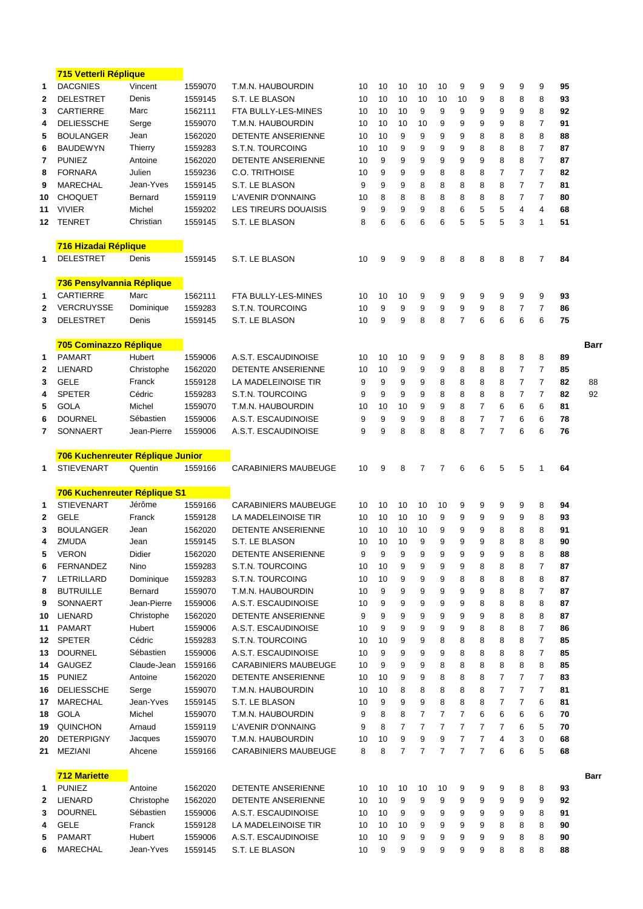|                | <u>715 vetterli Replique</u>     |             |         |                             |    |    |                |                |                |                |                |                |                |                |    |      |
|----------------|----------------------------------|-------------|---------|-----------------------------|----|----|----------------|----------------|----------------|----------------|----------------|----------------|----------------|----------------|----|------|
| 1              | <b>DACGNIES</b>                  | Vincent     | 1559070 | T.M.N. HAUBOURDIN           | 10 | 10 | 10             | 10             | 10             | 9              | 9              | 9              | 9              | 9              | 95 |      |
| $\overline{2}$ | <b>DELESTRET</b>                 | Denis       | 1559145 | S.T. LE BLASON              | 10 | 10 | 10             | 10             | 10             | 10             | 9              | 8              | 8              | 8              | 93 |      |
| 3              | <b>CARTIERRE</b>                 | Marc        | 1562111 | FTA BULLY-LES-MINES         | 10 | 10 | 10             | 9              | 9              | 9              | 9              | 9              | 9              | 8              | 92 |      |
| 4              | <b>DELIESSCHE</b>                | Serge       | 1559070 | T.M.N. HAUBOURDIN           | 10 | 10 | 10             | 10             | 9              | 9              | 9              | 9              | 8              | $\overline{7}$ | 91 |      |
| 5              | <b>BOULANGER</b>                 | Jean        | 1562020 | <b>DETENTE ANSERIENNE</b>   | 10 | 10 | 9              | 9              | 9              | 9              | 8              | 8              | 8              | 8              | 88 |      |
| 6              | <b>BAUDEWYN</b>                  | Thierry     | 1559283 | S.T.N. TOURCOING            | 10 | 10 | 9              | 9              | 9              | 9              | 8              | 8              | 8              | $\overline{7}$ | 87 |      |
| 7              | <b>PUNIEZ</b>                    | Antoine     | 1562020 | DETENTE ANSERIENNE          | 10 | 9  | 9              | 9              | 9              | 9              | 9              | 8              | 8              | 7              | 87 |      |
| 8              | <b>FORNARA</b>                   | Julien      | 1559236 | <b>C.O. TRITHOISE</b>       | 10 | 9  | 9              | 9              | 8              | 8              | 8              | $\overline{7}$ | $\overline{7}$ | $\overline{7}$ | 82 |      |
| 9              | <b>MARECHAL</b>                  | Jean-Yves   | 1559145 | S.T. LE BLASON              | 9  | 9  | 9              | 8              | 8              | 8              | 8              | 8              | $\overline{7}$ | $\overline{7}$ | 81 |      |
| 10             | <b>CHOQUET</b>                   | Bernard     | 1559119 | L'AVENIR D'ONNAING          | 10 | 8  | 8              | 8              | 8              | 8              | 8              | 8              | $\overline{7}$ | $\overline{7}$ | 80 |      |
| 11             | <b>VIVIER</b>                    | Michel      | 1559202 | LES TIREURS DOUAISIS        | 9  | 9  | 9              | 9              | 8              | 6              | 5              | 5              | $\overline{4}$ | $\overline{4}$ | 68 |      |
| 12             | <b>TENRET</b>                    | Christian   | 1559145 | S.T. LE BLASON              | 8  | 6  | 6              | 6              | 6              | 5              | 5              | 5              | 3              | $\mathbf{1}$   | 51 |      |
|                |                                  |             |         |                             |    |    |                |                |                |                |                |                |                |                |    |      |
|                | 716 Hizadai Réplique             |             |         |                             |    |    |                |                |                |                |                |                |                |                |    |      |
| 1              | <b>DELESTRET</b>                 | Denis       | 1559145 | S.T. LE BLASON              | 10 | 9  | 9              | 9              | 8              | 8              | 8              | 8              | 8              | $\overline{7}$ | 84 |      |
|                |                                  |             |         |                             |    |    |                |                |                |                |                |                |                |                |    |      |
|                | 736 Pensylvannia Réplique        |             |         |                             |    |    |                |                |                |                |                |                |                |                |    |      |
|                | <b>CARTIERRE</b>                 |             | 1562111 | FTA BULLY-LES-MINES         | 10 |    |                |                |                |                |                |                | 9              | 9              |    |      |
| 1              |                                  | Marc        |         |                             |    | 10 | 10             | 9              | 9              | 9              | 9              | 9              |                |                | 93 |      |
| $\mathbf{2}$   | <b>VERCRUYSSE</b>                | Dominique   | 1559283 | S.T.N. TOURCOING            | 10 | 9  | 9              | 9              | 9              | 9              | 9              | 8              | $\overline{7}$ | $\overline{7}$ | 86 |      |
| 3              | <b>DELESTRET</b>                 | Denis       | 1559145 | S.T. LE BLASON              | 10 | 9  | 9              | 8              | 8              | $\overline{7}$ | 6              | 6              | 6              | 6              | 75 |      |
|                |                                  |             |         |                             |    |    |                |                |                |                |                |                |                |                |    |      |
|                | 705 Cominazzo Réplique           |             |         |                             |    |    |                |                |                |                |                |                |                |                |    | Barı |
| 1              | <b>PAMART</b>                    | Hubert      | 1559006 | A.S.T. ESCAUDINOISE         | 10 | 10 | 10             | 9              | 9              | 9              | 8              | 8              | 8              | 8              | 89 |      |
| $\mathbf{2}$   | LIENARD                          | Christophe  | 1562020 | DETENTE ANSERIENNE          | 10 | 10 | 9              | 9              | 9              | 8              | 8              | 8              | $\overline{7}$ | $\overline{7}$ | 85 |      |
| 3              | <b>GELE</b>                      | Franck      | 1559128 | LA MADELEINOISE TIR         | 9  | 9  | 9              | 9              | 8              | 8              | 8              | 8              | $\overline{7}$ | $\overline{7}$ | 82 | 88   |
| 4              | <b>SPETER</b>                    | Cédric      | 1559283 | S.T.N. TOURCOING            | 9  | 9  | 9              | 9              | 8              | 8              | 8              | 8              | $\overline{7}$ | $\overline{7}$ | 82 | 92   |
| 5              | <b>GOLA</b>                      | Michel      | 1559070 | T.M.N. HAUBOURDIN           | 10 | 10 | 10             | 9              | 9              | 8              | 7              | 6              | 6              | 6              | 81 |      |
| 6              | <b>DOURNEL</b>                   | Sébastien   | 1559006 | A.S.T. ESCAUDINOISE         | 9  | 9  | 9              | 9              | 8              | 8              | $\overline{7}$ | 7              | 6              | 6              | 78 |      |
| 7              | SONNAERT                         | Jean-Pierre | 1559006 | A.S.T. ESCAUDINOISE         | 9  | 9  | 8              | 8              | 8              | 8              | $\overline{7}$ | 7              | 6              | 6              | 76 |      |
|                |                                  |             |         |                             |    |    |                |                |                |                |                |                |                |                |    |      |
|                | 706 Kuchenreuter Réplique Junior |             |         |                             |    |    |                |                |                |                |                |                |                |                |    |      |
| 1              | <b>STIEVENART</b>                | Quentin     | 1559166 | <b>CARABINIERS MAUBEUGE</b> | 10 | 9  | 8              | 7              | $\overline{7}$ | 6              | 6              | 5              | 5              | 1              | 64 |      |
|                |                                  |             |         |                             |    |    |                |                |                |                |                |                |                |                |    |      |
|                | 706 Kuchenreuter Réplique S1     |             |         |                             |    |    |                |                |                |                |                |                |                |                |    |      |
| 1              | <b>STIEVENART</b>                | Jérôme      | 1559166 | <b>CARABINIERS MAUBEUGE</b> | 10 | 10 | 10             | 10             | 10             | 9              | 9              | 9              | 9              | 8              | 94 |      |
| $\mathbf{2}$   | <b>GELE</b>                      | Franck      | 1559128 | LA MADELEINOISE TIR         | 10 | 10 | 10             | 10             | 9              | 9              | 9              | 9              | 9              | 8              | 93 |      |
| 3              | <b>BOULANGER</b>                 | Jean        | 1562020 | DETENTE ANSERIENNE          | 10 | 10 | 10             | 10             | 9              | 9              | 9              | 8              | 8              | 8              | 91 |      |
| 4              | ZMUDA                            | Jean        | 1559145 | S.T. LE BLASON              | 10 | 10 | 10             | 9              | 9              | 9              | 9              | 8              | 8              | 8              | 90 |      |
| 5              | <b>VERON</b>                     | Didier      | 1562020 | DETENTE ANSERIENNE          | 9  | 9  | 9              | 9              | 9              | 9              | 9              | 9              | 8              | 8              | 88 |      |
| 6              | <b>FERNANDEZ</b>                 | Nino        | 1559283 | S.T.N. TOURCOING            | 10 | 10 | 9              | 9              | 9              | 9              | 8              | 8              | 8              | $\overline{7}$ | 87 |      |
| 7              | <b>LETRILLARD</b>                | Dominique   | 1559283 | S.T.N. TOURCOING            | 10 | 10 | 9              | 9              | 9              | 8              | 8              | 8              | 8              | 8              | 87 |      |
| 8              | <b>BUTRUILLE</b>                 | Bernard     | 1559070 | T.M.N. HAUBOURDIN           | 10 | 9  | 9              | 9              | 9              | 9              | 9              | 8              | 8              | $\overline{7}$ | 87 |      |
| 9              | SONNAERT                         | Jean-Pierre | 1559006 | A.S.T. ESCAUDINOISE         | 10 | 9  | 9              | 9              | 9              | 9              | 8              | 8              | 8              | 8              | 87 |      |
| 10             | LIENARD                          | Christophe  | 1562020 | DETENTE ANSERIENNE          | 9  | 9  | 9              | 9              | 9              | 9              | 9              | 8              | 8              | 8              | 87 |      |
| 11             | <b>PAMART</b>                    | Hubert      | 1559006 | A.S.T. ESCAUDINOISE         | 10 | 9  | 9              | 9              | 9              | 9              | 8              | 8              | 8              | $\overline{7}$ | 86 |      |
| 12             | <b>SPETER</b>                    | Cédric      | 1559283 | S.T.N. TOURCOING            | 10 | 10 | 9              | 9              | 8              | 8              | 8              | 8              | 8              | $\overline{7}$ | 85 |      |
| 13             | <b>DOURNEL</b>                   | Sébastien   | 1559006 | A.S.T. ESCAUDINOISE         | 10 | 9  | 9              | 9              | 9              | 8              | 8              | 8              | 8              | $\overline{7}$ | 85 |      |
| 14             | <b>GAUGEZ</b>                    | Claude-Jean | 1559166 | <b>CARABINIERS MAUBEUGE</b> | 10 | 9  | 9              | 9              | 8              | 8              | 8              | 8              | 8              | 8              | 85 |      |
| 15             | <b>PUNIEZ</b>                    | Antoine     | 1562020 | DETENTE ANSERIENNE          | 10 | 10 | 9              | 9              | 8              | 8              | 8              | $\overline{7}$ | 7              | $\overline{7}$ | 83 |      |
| 16             | <b>DELIESSCHE</b>                | Serge       | 1559070 | T.M.N. HAUBOURDIN           | 10 | 10 | 8              | 8              | 8              | 8              | 8              | $\overline{7}$ | $\overline{7}$ | $\overline{7}$ | 81 |      |
| 17             | <b>MARECHAL</b>                  | Jean-Yves   | 1559145 | S.T. LE BLASON              | 10 | 9  | 9              | 9              | 8              | 8              | 8              | $\overline{7}$ | $\overline{7}$ | 6              | 81 |      |
| 18             | <b>GOLA</b>                      | Michel      | 1559070 | T.M.N. HAUBOURDIN           | 9  | 8  | 8              | $\overline{7}$ | $\overline{7}$ | $\overline{7}$ | 6              | 6              | 6              | 6              | 70 |      |
| 19             | <b>QUINCHON</b>                  | Arnaud      | 1559119 | L'AVENIR D'ONNAING          | 9  | 8  | $\overline{7}$ | $\overline{7}$ | $\overline{7}$ | $\overline{7}$ | 7              | $\overline{7}$ | 6              | 5              | 70 |      |
| 20             | <b>DETERPIGNY</b>                | Jacques     | 1559070 | T.M.N. HAUBOURDIN           | 10 | 10 | 9              | 9              | 9              | $\overline{7}$ | $\overline{7}$ | 4              | 3              | $\mathbf 0$    | 68 |      |
| 21             | MEZIANI                          | Ahcene      | 1559166 | <b>CARABINIERS MAUBEUGE</b> | 8  | 8  | $\overline{7}$ | $\overline{7}$ | 7              | $\overline{7}$ | $\overline{7}$ | 6              | 6              | 5              | 68 |      |
|                |                                  |             |         |                             |    |    |                |                |                |                |                |                |                |                |    |      |
|                | <b>712 Mariette</b>              |             |         |                             |    |    |                |                |                |                |                |                |                |                |    | Barr |
| 1              | <b>PUNIEZ</b>                    | Antoine     | 1562020 | DETENTE ANSERIENNE          | 10 | 10 | 10             | 10             | 10             | 9              | 9              | 9              | 8              | 8              | 93 |      |
| $\mathbf{2}$   | LIENARD                          | Christophe  | 1562020 | DETENTE ANSERIENNE          | 10 | 10 | 9              | 9              | 9              | 9              | 9              | 9              | 9              | 9              | 92 |      |
| 3              | <b>DOURNEL</b>                   | Sébastien   | 1559006 | A.S.T. ESCAUDINOISE         | 10 | 10 | 9              | 9              | 9              | 9              | 9              | 9              | 9              | 8              | 91 |      |
| 4              | <b>GELE</b>                      | Franck      | 1559128 | LA MADELEINOISE TIR         | 10 | 10 | 10             | 9              | 9              | 9              | 9              | 8              | 8              | 8              | 90 |      |
| 5              | <b>PAMART</b>                    | Hubert      | 1559006 | A.S.T. ESCAUDINOISE         | 10 | 10 | 9              | 9              | 9              | 9              | 9              | 9              | 8              | 8              | 90 |      |
| 6              | <b>MARECHAL</b>                  | Jean-Yves   | 1559145 | S.T. LE BLASON              | 10 | 9  | 9              | 9              | 9              | 9              | 9              | 8              | 8              | 8              | 88 |      |
|                |                                  |             |         |                             |    |    |                |                |                |                |                |                |                |                |    |      |

*<u>115 Veterlin</u>*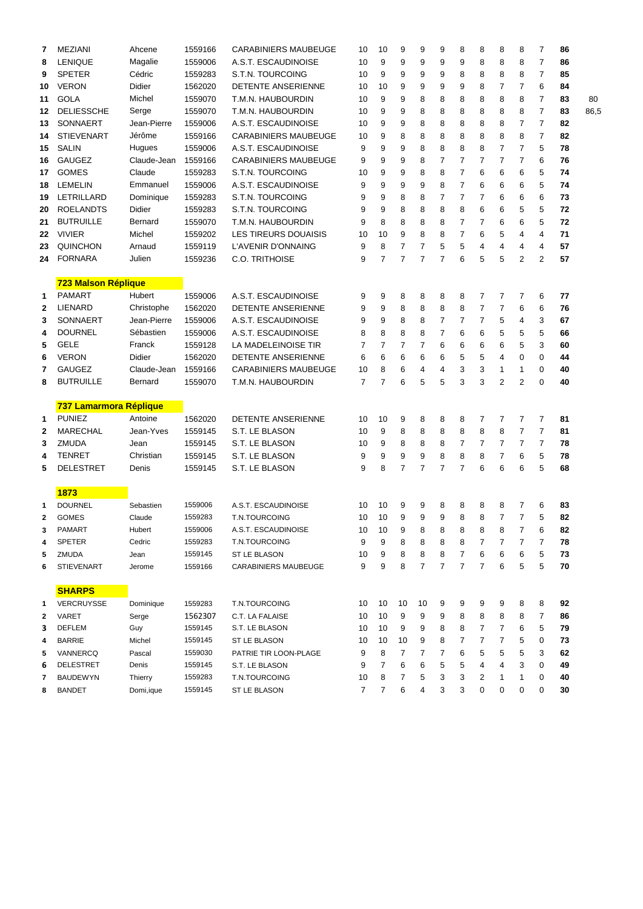| 7            | <b>MEZIANI</b>         | Ahcene        | 1559166 | <b>CARABINIERS MAUBEUGE</b> | 10              | 10             | 9              | 9              | 9              | 8              | 8              | 8              | 8              | 7              | 86 |      |
|--------------|------------------------|---------------|---------|-----------------------------|-----------------|----------------|----------------|----------------|----------------|----------------|----------------|----------------|----------------|----------------|----|------|
| 8            | <b>LENIQUE</b>         | Magalie       | 1559006 | A.S.T. ESCAUDINOISE         | 10              | 9              | 9              | 9              | 9              | 9              | 8              | 8              | 8              | $\overline{7}$ | 86 |      |
| 9            | <b>SPETER</b>          | Cédric        | 1559283 | S.T.N. TOURCOING            | 10              | 9              | 9              | 9              | 9              | 8              | 8              | 8              | 8              | $\overline{7}$ | 85 |      |
| 10           | <b>VERON</b>           | <b>Didier</b> | 1562020 | DETENTE ANSERIENNE          | 10              | 10             | 9              | 9              | 9              | 9              | 8              | 7              | $\overline{7}$ | 6              | 84 |      |
| 11           | <b>GOLA</b>            | Michel        | 1559070 | T.M.N. HAUBOURDIN           | 10              | 9              | 9              | 8              | 8              | 8              | 8              | 8              | 8              | $\overline{7}$ | 83 | 80   |
| 12           | <b>DELIESSCHE</b>      | Serge         | 1559070 | T.M.N. HAUBOURDIN           | 10              | 9              | 9              | 8              | 8              | 8              | 8              | 8              | 8              | $\overline{7}$ | 83 | 86,5 |
| 13           | SONNAERT               | Jean-Pierre   | 1559006 | A.S.T. ESCAUDINOISE         | 10              | 9              | 9              | 8              | 8              | 8              | 8              | 8              | $\overline{7}$ | $\overline{7}$ | 82 |      |
| 14           | <b>STIEVENART</b>      | Jérôme        | 1559166 | <b>CARABINIERS MAUBEUGE</b> | 10              | 9              | 8              | 8              | 8              | 8              | 8              | 8              | 8              | $\overline{7}$ | 82 |      |
| 15           | <b>SALIN</b>           | Hugues        | 1559006 | A.S.T. ESCAUDINOISE         | 9               | 9              | 9              | 8              | 8              | 8              | 8              | $\overline{7}$ | $\overline{7}$ | 5              | 78 |      |
| 16           | <b>GAUGEZ</b>          | Claude-Jean   | 1559166 | <b>CARABINIERS MAUBEUGE</b> | 9               | 9              | 9              | 8              | $\overline{7}$ | $\overline{7}$ | $\overline{7}$ | $\overline{7}$ | $\overline{7}$ | 6              | 76 |      |
| 17           | <b>GOMES</b>           | Claude        | 1559283 | S.T.N. TOURCOING            | 10              | 9              | 9              | 8              | 8              | $\overline{7}$ | 6              | 6              | 6              | 5              | 74 |      |
| 18           | <b>LEMELIN</b>         | Emmanuel      | 1559006 | A.S.T. ESCAUDINOISE         | 9               | 9              | 9              | 9              | 8              | $\overline{7}$ | 6              | 6              | 6              | 5              | 74 |      |
| 19           | <b>LETRILLARD</b>      | Dominique     | 1559283 | S.T.N. TOURCOING            | 9               | 9              | 8              | 8              | 7              | $\overline{7}$ | 7              | 6              | 6              | 6              | 73 |      |
| 20           | <b>ROELANDTS</b>       | Didier        | 1559283 | S.T.N. TOURCOING            | 9               | 9              | 8              | 8              | 8              | 8              | 6              | 6              | 5              | 5              | 72 |      |
| 21           | <b>BUTRUILLE</b>       | Bernard       | 1559070 | T.M.N. HAUBOURDIN           | 9               | 8              | 8              | 8              | 8              | $\overline{7}$ | 7              | 6              | 6              | 5              | 72 |      |
| 22           | <b>VIVIER</b>          | Michel        | 1559202 | LES TIREURS DOUAISIS        | 10              | 10             | 9              | 8              | 8              | $\overline{7}$ | 6              | 5              | 4              | 4              | 71 |      |
| 23           | <b>QUINCHON</b>        | Arnaud        | 1559119 | L'AVENIR D'ONNAING          | 9               | 8              | $\overline{7}$ | $\overline{7}$ | 5              | 5              | 4              | 4              | $\overline{4}$ | $\overline{4}$ | 57 |      |
| 24           | <b>FORNARA</b>         | Julien        | 1559236 | <b>C.O. TRITHOISE</b>       | 9               | $\overline{7}$ | $\overline{7}$ | $\overline{7}$ | $\overline{7}$ | 6              | 5              | 5              | $\overline{2}$ | $\overline{2}$ | 57 |      |
|              |                        |               |         |                             |                 |                |                |                |                |                |                |                |                |                |    |      |
|              | 723 Malson Réplique    |               |         |                             |                 |                |                |                |                |                |                |                |                |                |    |      |
| 1            | <b>PAMART</b>          | Hubert        | 1559006 | A.S.T. ESCAUDINOISE         | 9               | 9              | 8              | 8              | 8              | 8              | 7              | 7              | $\overline{7}$ | 6              | 77 |      |
| $\mathbf{2}$ | <b>LIENARD</b>         | Christophe    | 1562020 | <b>DETENTE ANSERIENNE</b>   | 9               | 9              | 8              | 8              | 8              | 8              | $\overline{7}$ | 7              | 6              | 6              | 76 |      |
| 3            | <b>SONNAERT</b>        | Jean-Pierre   | 1559006 | A.S.T. ESCAUDINOISE         | 9               | 9              | 8              | 8              | 7              | $\overline{7}$ | 7              | 5              | $\overline{4}$ | 3              | 67 |      |
| 4            | <b>DOURNEL</b>         | Sébastien     | 1559006 | A.S.T. ESCAUDINOISE         | 8               | 8              | 8              | 8              | $\overline{7}$ | 6              | 6              | 5              | 5              | 5              | 66 |      |
| 5            | <b>GELE</b>            | Franck        | 1559128 | LA MADELEINOISE TIR         | 7               | $\overline{7}$ | 7              | $\overline{7}$ | 6              | 6              | 6              | 6              | 5              | 3              | 60 |      |
| 6            | <b>VERON</b>           | Didier        | 1562020 | DETENTE ANSERIENNE          | 6               | 6              | 6              | 6              | 6              | 5              | 5              | 4              | $\mathbf 0$    | 0              | 44 |      |
| 7            | <b>GAUGEZ</b>          | Claude-Jean   | 1559166 | <b>CARABINIERS MAUBEUGE</b> | 10              | 8              | 6              | $\overline{4}$ | 4              | 3              | 3              | 1              | $\mathbf{1}$   | 0              | 40 |      |
| 8            | <b>BUTRUILLE</b>       | Bernard       | 1559070 | T.M.N. HAUBOURDIN           | $\overline{7}$  | $\overline{7}$ | 6              | 5              | 5              | 3              | 3              | 2              | $\overline{2}$ | 0              | 40 |      |
|              |                        |               |         |                             |                 |                |                |                |                |                |                |                |                |                |    |      |
|              | 737 Lamarmora Réplique |               |         |                             |                 |                |                |                |                |                |                |                |                |                |    |      |
| 1            | <b>PUNIEZ</b>          | Antoine       | 1562020 | <b>DETENTE ANSERIENNE</b>   | 10              | 10             | 9              | 8              | 8              | 8              | 7              | 7              | $\overline{7}$ | $\overline{7}$ | 81 |      |
| $\mathbf{2}$ | <b>MARECHAL</b>        | Jean-Yves     | 1559145 | S.T. LE BLASON              | 10              | 9              | 8              | 8              | 8              | 8              | 8              | 8              | $\overline{7}$ | 7              | 81 |      |
| 3            | <b>ZMUDA</b>           | Jean          | 1559145 | S.T. LE BLASON              | 10              | 9              | 8              | 8              | 8              | $\overline{7}$ | 7              | 7              | $\overline{7}$ | $\overline{7}$ | 78 |      |
| 4            | <b>TENRET</b>          | Christian     | 1559145 | S.T. LE BLASON              | 9               | 9              | 9              | 9              | 8              | 8              | 8              | 7              | 6              | 5              | 78 |      |
| 5            | <b>DELESTRET</b>       | Denis         | 1559145 | S.T. LE BLASON              | 9               | 8              | $\overline{7}$ | $\overline{7}$ | $\overline{7}$ | $\overline{7}$ | 6              | 6              | 6              | 5              | 68 |      |
|              |                        |               |         |                             |                 |                |                |                |                |                |                |                |                |                |    |      |
|              | 1873                   |               |         |                             |                 |                |                |                |                |                |                |                |                |                |    |      |
| 1            | <b>DOURNEL</b>         | Sebastien     | 1559006 | A.S.T. ESCAUDINOISE         | 10              | 10             | 9              | 9              | 8              | 8              | 8              | 8              | $\overline{7}$ | 6              | 83 |      |
| $\mathbf{2}$ | <b>GOMES</b>           | Claude        | 1559283 | T.N.TOURCOING               | 10              | 10             | 9              | 9              | 9              | 8              | 8              | $\overline{7}$ | $\overline{7}$ | 5              | 82 |      |
| $\mathbf{3}$ | PAMART                 | Hubert        | 1559006 | A.S.T. ESCAUDINOISE         | 10 <sup>1</sup> | 10             | 9              | 8              | 8              | 8              | 8              | 8              | $\overline{7}$ | 6              | 82 |      |
| 4            | <b>SPETER</b>          | Cedric        | 1559283 | T.N.TOURCOING               | 9               | 9              | 8              | 8              | 8              | 8              | 7              | 7              | 7              | 7              | 78 |      |
| 5            | ZMUDA                  | Jean          | 1559145 | ST LE BLASON                | 10              | 9              | 8              | 8              | 8              | 7              | 6              | 6              | 6              | 5              | 73 |      |
| 6            | <b>STIEVENART</b>      | Jerome        | 1559166 | CARABINIERS MAUBEUGE        | 9               | 9              | 8              | 7              | 7              | 7              | 7              | 6              | 5              | 5              | 70 |      |
|              |                        |               |         |                             |                 |                |                |                |                |                |                |                |                |                |    |      |
|              | <b>SHARPS</b>          |               |         |                             |                 |                |                |                |                |                |                |                |                |                |    |      |
| 1            | VERCRUYSSE             | Dominique     | 1559283 | T.N.TOURCOING               | 10              | 10             | 10             | 10             | 9              | 9              | 9              | 9              | 8              | 8              | 92 |      |
| 2            | VARET                  | Serge         | 1562307 | C.T. LA FALAISE             | 10              | 10             | 9              | 9              | 9              | 8              | 8              | 8              | 8              | 7              | 86 |      |
| 3            | <b>DEFLEM</b>          | Guy           | 1559145 | S.T. LE BLASON              | 10              | 10             | 9              | 9              | 8              | 8              | 7              | 7              | 6              | 5              | 79 |      |
| 4            | <b>BARRIE</b>          | Michel        | 1559145 | ST LE BLASON                | 10              | 10             | 10             | 9              | 8              | 7              | 7              | 7              | 5              | 0              | 73 |      |
| 5            | VANNERCQ               | Pascal        | 1559030 | PATRIE TIR LOON-PLAGE       | 9               | 8              | 7              | 7              | 7              | 6              | 5              | 5              | 5              | 3              | 62 |      |
| 6            | <b>DELESTRET</b>       | Denis         | 1559145 | S.T. LE BLASON              | 9               | 7              | 6              | 6              | 5              | 5              | 4              | 4              | 3              | 0              | 49 |      |
| 7            | <b>BAUDEWYN</b>        | Thierry       | 1559283 | T.N.TOURCOING               | 10              | 8              | 7              | 5              | 3              | 3              | 2              | 1              | 1              | 0              | 40 |      |
| 8            | <b>BANDET</b>          | Domi, ique    | 1559145 | ST LE BLASON                | 7               | 7              | 6              | 4              | 3              | 3              | 0              | 0              | 0              | 0              | 30 |      |